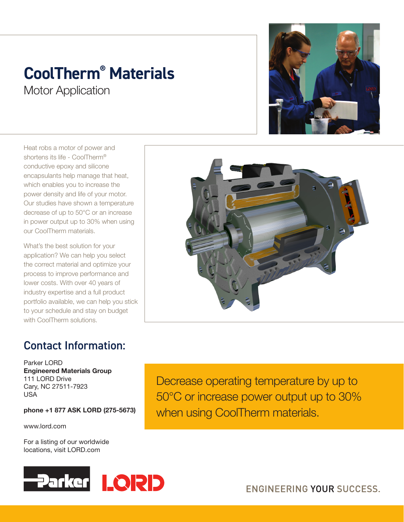## **CoolTherm® Materials**

**Motor Application** 

Heat robs a motor of power and shortens its life - CoolTherm® conductive epoxy and silicone encapsulants help manage that heat, which enables you to increase the power density and life of your motor. Our studies have shown a temperature decrease of up to 50°C or an increase in power output up to 30% when using our CoolTherm materials.

What's the best solution for your application? We can help you select the correct material and optimize your process to improve performance and lower costs. With over 40 years of industry expertise and a full product portfolio available, we can help you stick to your schedule and stay on budget with CoolTherm solutions.

## Contact Information:

Parker LORD Engineered Materials Group 111 LORD Drive Cary, NC 27511-7923 USA

phone +1 877 ASK LORD (275-5673)

www.lord.com

For a listing of our worldwide locations, visit LORD.com



Decrease operating temperature by up to 50°C or increase power output up to 30% when using CoolTherm materials.





**ENGINEERING YOUR SUCCESS.**